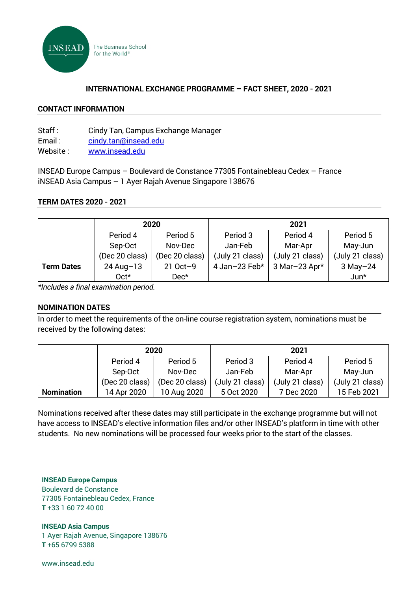

# **INTERNATIONAL EXCHANGE PROGRAMME – FACT SHEET, 2020 - 2021**

### **CONTACT INFORMATION**

Staff : Cindy Tan, Campus Exchange Manager Email: [cindy.tan@insead.edu](mailto:cindy.tan@insead.edu) Website: [www.insead.edu](http://www.insead.edu/)

INSEAD Europe Campus – Boulevard de Constance 77305 Fontainebleau Cedex – France iNSEAD Asia Campus – 1 Ayer Rajah Avenue Singapore 138676

#### **TERM DATES 2020 - 2021**

|                   | 2020           |                | 2021            |                 |                 |
|-------------------|----------------|----------------|-----------------|-----------------|-----------------|
|                   | Period 4       | Period 5       | Period 3        | Period 4        | Period 5        |
|                   | Sep-Oct        | Nov-Dec        | Jan-Feb         | Mar-Apr         | May-Jun         |
|                   | (Dec 20 class) | (Dec 20 class) | (July 21 class) | (July 21 class) | (July 21 class) |
| <b>Term Dates</b> | $24$ Aug-13    | $21$ Oct $-9$  | 4 Jan-23 $Feb*$ | $3$ Mar-23 Apr* | $3$ May-24      |
|                   | Oct*           | $Dec^{\star}$  |                 |                 | Jun*            |

*\*Includes a final examination period.*

## **NOMINATION DATES**

In order to meet the requirements of the on-line course registration system, nominations must be received by the following dates:

|                   | 2020           |                | 2021            |                 |                 |
|-------------------|----------------|----------------|-----------------|-----------------|-----------------|
|                   | Period 4       | Period 5       | Period 3        | Period 4        | Period 5        |
|                   | Sep-Oct        | Nov-Dec        | Jan-Feb         | Mar-Apr         | May-Jun         |
|                   | (Dec 20 class) | (Dec 20 class) | (July 21 class) | (July 21 class) | (July 21 class) |
| <b>Nomination</b> | 14 Apr 2020    | 10 Aug 2020    | 5 Oct 2020      | 7 Dec 2020      | 15 Feb 2021     |

Nominations received after these dates may still participate in the exchange programme but will not have access to INSEAD's elective information files and/or other INSEAD's platform in time with other students. No new nominations will be processed four weeks prior to the start of the classes.

**INSEAD Europe Campus** Boulevard de Constance 77305 Fontainebleau Cedex, France **T** +33 1 60 72 40 00

**INSEAD Asia Campus** 1 Ayer Rajah Avenue, Singapore 138676 **T** +65 6799 5388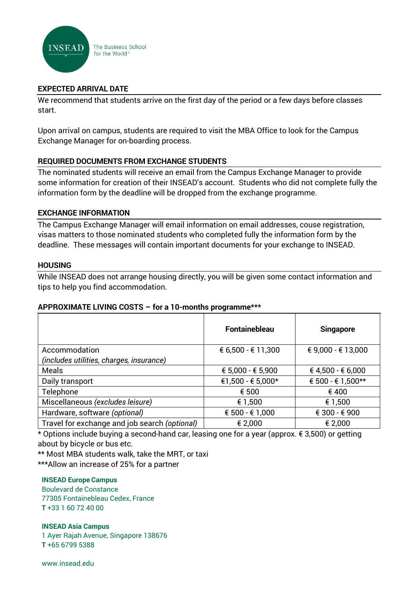

# **EXPECTED ARRIVAL DATE**

We recommend that students arrive on the first day of the period or a few days before classes start.

Upon arrival on campus, students are required to visit the MBA Office to look for the Campus Exchange Manager for on-boarding process.

# **REQUIRED DOCUMENTS FROM EXCHANGE STUDENTS**

The nominated students will receive an email from the Campus Exchange Manager to provide some information for creation of their INSEAD's account. Students who did not complete fully the information form by the deadline will be dropped from the exchange programme.

## **EXCHANGE INFORMATION**

The Campus Exchange Manager will email information on email addresses, couse registration, visas matters to those nominated students who completed fully the information form by the deadline. These messages will contain important documents for your exchange to INSEAD.

## **HOUSING**

While INSEAD does not arrange housing directly, you will be given some contact information and tips to help you find accommodation.

## **APPROXIMATE LIVING COSTS – for a 10-months programme\*\*\***

|                                               | <b>Fontainebleau</b> | <b>Singapore</b>   |
|-----------------------------------------------|----------------------|--------------------|
| Accommodation                                 | € 6,500 - € 11,300   | € 9,000 - € 13,000 |
| (includes utilities, charges, insurance)      |                      |                    |
| Meals                                         | € $5,000 - 6,5,900$  | € 4,500 - € 6,000  |
| Daily transport                               | €1,500 - € 5,000*    | € 500 - € 1,500**  |
| Telephone                                     | € 500                | € 400              |
| Miscellaneous (excludes leisure)              | € 1,500              | € 1,500            |
| Hardware, software (optional)                 | € $500 - 61,000$     | € 300 - € 900      |
| Travel for exchange and job search (optional) | € 2,000              | € 2,000            |

\* Options include buying a second-hand car, leasing one for a year (approx. € 3,500) or getting about by bicycle or bus etc.

\*\* Most MBA students walk, take the MRT, or taxi

\*\*\*Allow an increase of 25% for a partner

#### **INSEAD Europe Campus**

Boulevard de Constance 77305 Fontainebleau Cedex, France **T** +33 1 60 72 40 00

#### **INSEAD Asia Campus**

1 Ayer Rajah Avenue, Singapore 138676 **T** +65 6799 5388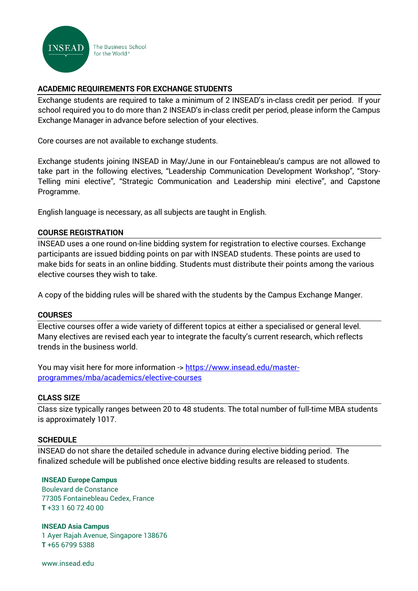

# **ACADEMIC REQUIREMENTS FOR EXCHANGE STUDENTS**

Exchange students are required to take a minimum of 2 INSEAD's in-class credit per period. If your school required you to do more than 2 INSEAD's in-class credit per period, please inform the Campus Exchange Manager in advance before selection of your electives.

Core courses are not available to exchange students.

Exchange students joining INSEAD in May/June in our Fontainebleau's campus are not allowed to take part in the following electives, "Leadership Communication Development Workshop", "Story-Telling mini elective", "Strategic Communication and Leadership mini elective", and Capstone Programme.

English language is necessary, as all subjects are taught in English.

#### **COURSE REGISTRATION**

INSEAD uses a one round on-line bidding system for registration to elective courses. Exchange participants are issued bidding points on par with INSEAD students. These points are used to make bids for seats in an online bidding. Students must distribute their points among the various elective courses they wish to take.

A copy of the bidding rules will be shared with the students by the Campus Exchange Manger.

#### **COURSES**

Elective courses offer a wide variety of different topics at either a specialised or general level. Many electives are revised each year to integrate the faculty's current research, which reflects trends in the business world.

You may visit here for more information -> [https://www.insead.edu/master](https://www.insead.edu/master-programmes/mba/academics/elective-courses)[programmes/mba/academics/elective-courses](https://www.insead.edu/master-programmes/mba/academics/elective-courses)

#### **CLASS SIZE**

Class size typically ranges between 20 to 48 students. The total number of full-time MBA students is approximately 1017.

#### **SCHEDULE**

INSEAD do not share the detailed schedule in advance during elective bidding period. The finalized schedule will be published once elective bidding results are released to students.

#### **INSEAD Europe Campus**

Boulevard de Constance 77305 Fontainebleau Cedex, France **T** +33 1 60 72 40 00

**INSEAD Asia Campus** 1 Ayer Rajah Avenue, Singapore 138676 **T** +65 6799 5388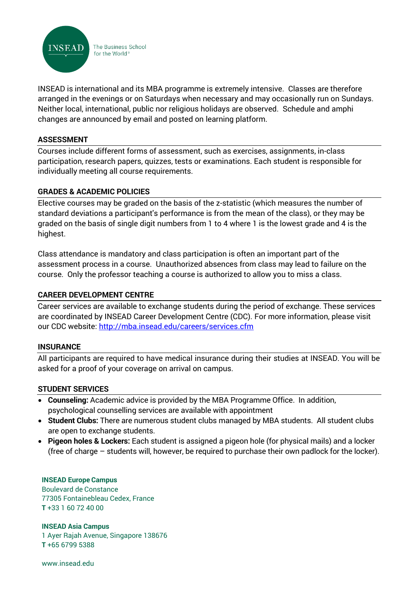

INSEAD is international and its MBA programme is extremely intensive. Classes are therefore arranged in the evenings or on Saturdays when necessary and may occasionally run on Sundays. Neither local, international, public nor religious holidays are observed. Schedule and amphi changes are announced by email and posted on learning platform.

## **ASSESSMENT**

Courses include different forms of assessment, such as exercises, assignments, in-class participation, research papers, quizzes, tests or examinations. Each student is responsible for individually meeting all course requirements.

## **GRADES & ACADEMIC POLICIES**

Elective courses may be graded on the basis of the z-statistic (which measures the number of standard deviations a participant's performance is from the mean of the class), or they may be graded on the basis of single digit numbers from 1 to 4 where 1 is the lowest grade and 4 is the highest.

Class attendance is mandatory and class participation is often an important part of the assessment process in a course. Unauthorized absences from class may lead to failure on the course. Only the professor teaching a course is authorized to allow you to miss a class.

#### **CAREER DEVELOPMENT CENTRE**

Career services are available to exchange students during the period of exchange. These services are coordinated by INSEAD Career Development Centre (CDC). For more information, please visit our CDC website:<http://mba.insead.edu/careers/services.cfm>

#### **INSURANCE**

All participants are required to have medical insurance during their studies at INSEAD. You will be asked for a proof of your coverage on arrival on campus.

## **STUDENT SERVICES**

- **Counseling:** Academic advice is provided by the MBA Programme Office. In addition, psychological counselling services are available with appointment
- **Student Clubs:** There are numerous student clubs managed by MBA students. All student clubs are open to exchange students.
- **Pigeon holes & Lockers:** Each student is assigned a pigeon hole (for physical mails) and a locker (free of charge – students will, however, be required to purchase their own padlock for the locker).

#### **INSEAD Europe Campus** Boulevard de Constance 77305 Fontainebleau Cedex, France

**T** +33 1 60 72 40 00

**INSEAD Asia Campus** 1 Ayer Rajah Avenue, Singapore 138676 **T** +65 6799 5388